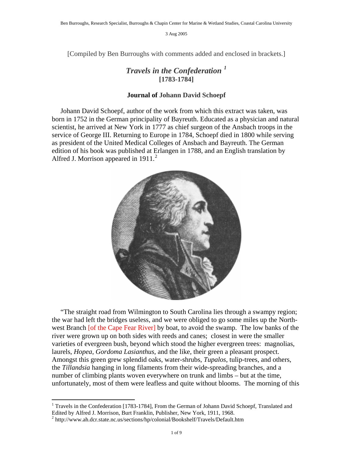[Compiled by Ben Burroughs with comments added and enclosed in brackets.]

# *Travels in the Confederation [1](#page-0-0)*  **[1783-1784]**

## **Journal of Johann David Schoepf**

 Johann David Schoepf, author of the work from which this extract was taken, was born in 1752 in the German principality of Bayreuth. Educated as a physician and natural scientist, he arrived at New York in 1777 as chief surgeon of the Ansbach troops in the service of George III. Returning to Europe in 1784, Schoepf died in 1800 while serving as president of the United Medical Colleges of Ansbach and Bayreuth. The German edition of his book was published at Erlangen in 1788, and an English translation by Alfred J. Morrison appeared in  $1911<sup>2</sup>$  $1911<sup>2</sup>$  $1911<sup>2</sup>$ 



 "The straight road from Wilmington to South Carolina lies through a swampy region; the war had left the bridges useless, and we were obliged to go some miles up the Northwest Branch *of the Cape Fear River* by boat, to avoid the swamp. The low banks of the river were grown up on both sides with reeds and canes; closest in were the smaller varieties of evergreen bush, beyond which stood the higher evergreen trees: magnolias, laurels, *Hopea*, *Gordoma Lasianthus*, and the like, their green a pleasant prospect. Amongst this green grew splendid oaks, water-shrubs, *Tupalos*, tulip-trees, and others, the *Tillandsia* hanging in long filaments from their wide-spreading branches, and a number of climbing plants woven everywhere on trunk and limbs – but at the time, unfortunately, most of them were leafless and quite without blooms. The morning of this

<span id="page-0-0"></span><sup>&</sup>lt;sup>1</sup> Travels in the Confederation [1783-1784], From the German of Johann David Schoepf, Translated and Edited by Alfred J. Morrison, Burt Franklin, Publisher, New York, 1911, 1968.

<span id="page-0-1"></span><sup>&</sup>lt;sup>2</sup> http://www.ah.dcr.state.nc.us/sections/hp/colonial/Bookshelf/Travels/Default.htm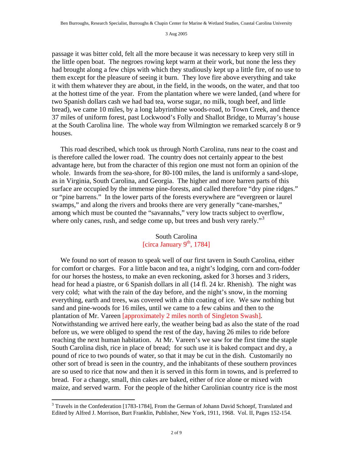passage it was bitter cold, felt all the more because it was necessary to keep very still in the little open boat. The negroes rowing kept warm at their work, but none the less they had brought along a few chips with which they studiously kept up a little fire, of no use to them except for the pleasure of seeing it burn. They love fire above everything and take it with them whatever they are about, in the field, in the woods, on the water, and that too at the hottest time of the year. From the plantation where we were landed, (and where for two Spanish dollars cash we had bad tea, worse sugar, no milk, tough beef, and little bread), we came 10 miles, by a long labyrinthine woods-road, to Town Creek, and thence 37 miles of uniform forest, past Lockwood's Folly and Shallot Bridge, to Murray's house at the South Carolina line. The whole way from Wilmington we remarked scarcely 8 or 9 houses.

 This road described, which took us through North Carolina, runs near to the coast and is therefore called the lower road. The country does not certainly appear to the best advantage here, but from the character of this region one must not form an opinion of the whole. Inwards from the sea-shore, for 80-100 miles, the land is uniformly a sand-slope, as in Virginia, South Carolina, and Georgia. The higher and more barren parts of this surface are occupied by the immense pine-forests, and called therefore "dry pine ridges." or "pine barrens." In the lower parts of the forests everywhere are "evergreen or laurel swamps," and along the rivers and brooks there are very generally "cane-marshes," among which must be counted the "savannahs," very low tracts subject to overflow, where only canes, rush, and sedge come up, but trees and bush very rarely."<sup>[3](#page-1-0)</sup>

## South Carolina [circa January  $9<sup>th</sup>$ , 1784]

 We found no sort of reason to speak well of our first tavern in South Carolina, either for comfort or charges. For a little bacon and tea, a night's lodging, corn and corn-fodder for our horses the hostess, to make an even reckoning, asked for 3 horses and 3 riders, head for head a piastre, or 6 Spanish dollars in all (14 fl. 24 kr. Rhenish). The night was very cold; what with the rain of the day before, and the night's snow, in the morning everything, earth and trees, was covered with a thin coating of ice. We saw nothing but sand and pine-woods for 16 miles, until we came to a few cabins and then to the plantation of Mr. Vareen [approximately 2 miles north of Singleton Swash]. Notwithstanding we arrived here early, the weather being bad as also the state of the road before us, we were obliged to spend the rest of the day, having 26 miles to ride before reaching the next human habitation. At Mr. Vareen's we saw for the first time the staple South Carolina dish, rice in place of bread; for such use it is baked compact and dry, a pound of rice to two pounds of water, so that it may be cut in the dish. Customarily no other sort of bread is seen in the country, and the inhabitants of these southern provinces are so used to rice that now and then it is served in this form in towns, and is preferred to bread. For a change, small, thin cakes are baked, either of rice alone or mixed with maize, and served warm. For the people of the hither Carolinian country rice is the most

<span id="page-1-0"></span><sup>&</sup>lt;sup>3</sup> Travels in the Confederation [1783-1784], From the German of Johann David Schoepf, Translated and Edited by Alfred J. Morrison, Burt Franklin, Publisher, New York, 1911, 1968. Vol. II, Pages 152-154.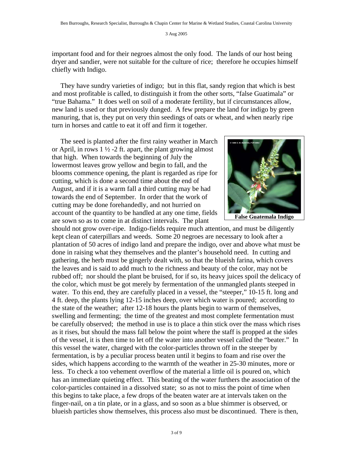important food and for their negroes almost the only food. The lands of our host being dryer and sandier, were not suitable for the culture of rice; therefore he occupies himself chiefly with Indigo.

 They have sundry varieties of indigo; but in this flat, sandy region that which is best and most profitable is called, to distinguish it from the other sorts, "false Guatimala" or "true Bahama." It does well on soil of a moderate fertility, but if circumstances allow, new land is used or that previously dunged. A few prepare the land for indigo by green manuring, that is, they put on very thin seedings of oats or wheat, and when nearly ripe turn in horses and cattle to eat it off and firm it together.

 The seed is planted after the first rainy weather in March or April, in rows  $1\frac{1}{2}$  -2 ft. apart, the plant growing almost that high. When towards the beginning of July the lowermost leaves grow yellow and begin to fall, and the blooms commence opening, the plant is regarded as ripe for cutting, which is done a second time about the end of August, and if it is a warm fall a third cutting may be had towards the end of September. In order that the work of cutting may be done forehandedly, and not hurried on account of the quantity to be handled at any one time, fields are sown so as to come in at distinct intervals. The plant



should not grow over-ripe. Indigo-fields require much attention, and must be diligently kept clean of caterpillars and weeds. Some 20 negroes are necessary to look after a plantation of 50 acres of indigo land and prepare the indigo, over and above what must be done in raising what they themselves and the planter's household need. In cutting and gathering, the herb must be gingerly dealt with, so that the blueish farina, which covers the leaves and is said to add much to the richness and beauty of the color, may not be rubbed off; nor should the plant be bruised, for if so, its heavy juices spoil the delicacy of the color, which must be got merely by fermentation of the unmangled plants steeped in water. To this end, they are carefully placed in a vessel, the "steeper," 10-15 ft. long and 4 ft. deep, the plants lying 12-15 inches deep, over which water is poured; according to the state of the weather; after 12-18 hours the plants begin to warm of themselves, swelling and fermenting; the time of the greatest and most complete fermentation must be carefully observed; the method in use is to place a thin stick over the mass which rises as it rises, but should the mass fall below the point where the staff is propped at the sides of the vessel, it is then time to let off the water into another vessel called the "beater." In this vessel the water, charged with the color-particles thrown off in the steeper by fermentation, is by a peculiar process beaten until it begins to foam and rise over the sides, which happens according to the warmth of the weather in 25-30 minutes, more or less. To check a too vehement overflow of the material a little oil is poured on, which has an immediate quieting effect. This beating of the water furthers the association of the color-particles contained in a dissolved state; so as not to miss the point of time when this begins to take place, a few drops of the beaten water are at intervals taken on the finger-nail, on a tin plate, or in a glass, and so soon as a blue shimmer is observed, or blueish particles show themselves, this process also must be discontinued. There is then,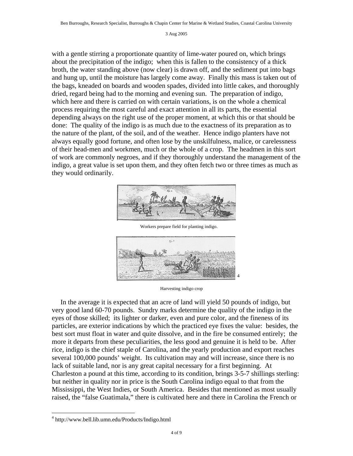with a gentle stirring a proportionate quantity of lime-water poured on, which brings about the precipitation of the indigo; when this is fallen to the consistency of a thick broth, the water standing above (now clear) is drawn off, and the sediment put into bags and hung up, until the moisture has largely come away. Finally this mass is taken out of the bags, kneaded on boards and wooden spades, divided into little cakes, and thoroughly dried, regard being had to the morning and evening sun. The preparation of indigo, which here and there is carried on with certain variations, is on the whole a chemical process requiring the most careful and exact attention in all its parts, the essential depending always on the right use of the proper moment, at which this or that should be done: The quality of the indigo is as much due to the exactness of its preparation as to the nature of the plant, of the soil, and of the weather. Hence indigo planters have not always equally good fortune, and often lose by the unskilfulness, malice, or carelessness of their head-men and workmen, much or the whole of a crop. The headmen in this sort of work are commonly negroes, and if they thoroughly understand the management of the indigo, a great value is set upon them, and they often fetch two or three times as much as they would ordinarily.



Workers prepare field for planting indigo.



Harvesting indigo crop

 In the average it is expected that an acre of land will yield 50 pounds of indigo, but very good land 60-70 pounds. Sundry marks determine the quality of the indigo in the eyes of those skilled; its lighter or darker, even and pure color, and the fineness of its particles, are exterior indications by which the practiced eye fixes the value: besides, the best sort must float in water and quite dissolve, and in the fire be consumed entirely; the more it departs from these peculiarities, the less good and genuine it is held to be. After rice, indigo is the chief staple of Carolina, and the yearly production and export reaches several 100,000 pounds' weight. Its cultivation may and will increase, since there is no lack of suitable land, nor is any great capital necessary for a first beginning. At Charleston a pound at this time, according to its condition, brings 3-5-7 shillings sterling: but neither in quality nor in price is the South Carolina indigo equal to that from the Mississippi, the West Indies, or South America. Besides that mentioned as most usually raised, the "false Guatimala," there is cultivated here and there in Carolina the French or

<span id="page-3-0"></span><sup>4</sup> http://www.bell.lib.umn.edu/Products/Indigo.html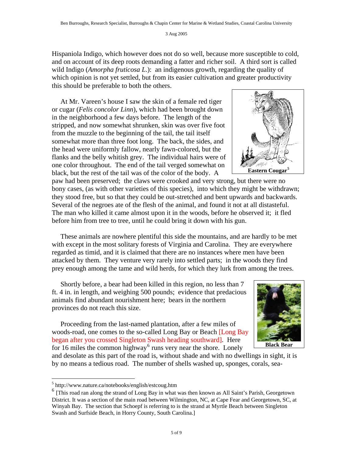Hispaniola Indigo, which however does not do so well, because more susceptible to cold, and on account of its deep roots demanding a fatter and richer soil. A third sort is called wild Indigo (*Amorpha fruticosa L*.): an indigenous growth, regarding the quality of which opinion is not yet settled, but from its easier cultivation and greater productivity this should be preferable to both the others.

 At Mr. Vareen's house I saw the skin of a female red tiger or cugar (*Felis concolor Linn*), which had been brought down in the neighborhood a few days before. The length of the stripped, and now somewhat shrunken, skin was over five foot from the muzzle to the beginning of the tail, the tail itself somewhat more than three foot long. The back, the sides, and the head were uniformly fallow, nearly fawn-colored, but the flanks and the belly whitish grey. The individual hairs were of one color throughout. The end of the tail verged somewhat on black, but the rest of the tail was of the color of the body. A



paw had been preserved; the claws were crooked and very strong, but there were no bony cases, (as with other varieties of this species), into which they might be withdrawn; they stood free, but so that they could be out-stretched and bent upwards and backwards. Several of the negroes ate of the flesh of the animal, and found it not at all distasteful. The man who killed it came almost upon it in the woods, before he observed it; it fled before him from tree to tree, until he could bring it down with his gun.

 These animals are nowhere plentiful this side the mountains, and are hardly to be met with except in the most solitary forests of Virginia and Carolina. They are everywhere regarded as timid, and it is claimed that there are no instances where men have been attacked by them. They venture very rarely into settled parts; in the woods they find prey enough among the tame and wild herds, for which they lurk from among the trees.

 Shortly before, a bear had been killed in this region, no less than 7 ft. 4 in. in length, and weighing 500 pounds; evidence that predacious animals find abundant nourishment here; bears in the northern provinces do not reach this size.



 Proceeding from the last-named plantation, after a few miles of woods-road, one comes to the so-called Long Bay or Beach [Long B ay began after you crossed Singleton Swash heading southward]. Here for 1[6](#page-4-1) miles the common highway<sup>6</sup> runs very near the shore. Lonely

and desolate as this part of the road is, without shade and with no dwellings in sight, it is by no means a tedious road. The number of shells washed up, sponges, corals, sea-

<u>.</u>

<span id="page-4-0"></span><sup>5</sup> http://www.nature.ca/notebooks/english/estcoug.htm

<span id="page-4-1"></span><sup>&</sup>lt;sup>6</sup> [This road ran along the strand of Long Bay in what was then known as All Saint's Parish, Georgetown District. It was a section of the main road between Wilmington, NC, at Cape Fear and Georgetown, SC, at Winyah Bay. The section that Schoepf is referring to is the strand at Myrtle Beach between Singleton Swash and Surfside Beach, in Horry County, South Carolina.]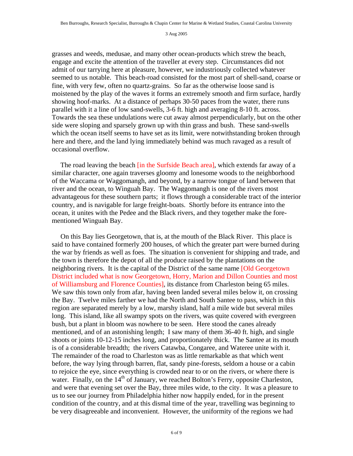grasses and weeds, medusae, and many other ocean-products which strew the beach, engage and excite the attention of the traveller at every step. Circumstances did not admit of our tarrying here at pleasure, however, we industriously collected whatever seemed to us notable. This beach-road consisted for the most part of shell-sand, coarse or fine, with very few, often no quartz-grains. So far as the otherwise loose sand is moistened by the play of the waves it forms an extremely smooth and firm surface, hardly showing hoof-marks. At a distance of perhaps 30-50 paces from the water, there runs parallel with it a line of low sand-swells, 3-6 ft. high and averaging 8-10 ft. across. Towards the sea these undulations were cut away almost perpendicularly, but on the other side were sloping and sparsely grown up with thin grass and bush. These sand-swells which the ocean itself seems to have set as its limit, were notwithstanding broken through here and there, and the land lying immediately behind was much ravaged as a result of occasional overflow.

The road leaving the beach *[in the Surfside Beach area]*, which extends far away of a similar character, one again traverses gloomy and lonesome woods to the neighborhood of the Waccama or Waggomangh, and beyond, by a narrow tongue of land between that river and the ocean, to Winguah Bay. The Waggomangh is one of the rivers most advantageous for these southern parts; it flows through a considerable tract of the interior country, and is navigable for large freight-boats. Shortly before its entrance into the ocean, it unites with the Pedee and the Black rivers, and they together make the forementioned Winguah Bay.

 On this Bay lies Georgetown, that is, at the mouth of the Black River. This place is said to have contained formerly 200 houses, of which the greater part were burned during the war by friends as well as foes. The situation is convenient for shipping and trade, and the town is therefore the depot of all the produce raised by the plantations on the neighboring rivers. It is the capital of the District of the same name [Old Georgetown District included what is now Georgetown, Horry, Marion and Dillon Counties and most of Williamsburg and Florence Counties], its distance from Charleston being 65 miles. We saw this town only from afar, having been landed several miles below it, on crossing the Bay. Twelve miles farther we had the North and South Santee to pass, which in this region are separated merely by a low, marshy island, half a mile wide but several miles long. This island, like all swampy spots on the rivers, was quite covered with evergreen bush, but a plant in bloom was nowhere to be seen. Here stood the canes already mentioned, and of an astonishing length; I saw many of them 36-40 ft. high, and single shoots or joints 10-12-15 inches long, and proportionately thick. The Santee at its mouth is of a considerable breadth; the rivers Catawba, Congaree, and Wateree unite with it. The remainder of the road to Charleston was as little remarkable as that which went before, the way lying through barren, flat, sandy pine-forests, seldom a house or a cabin to rejoice the eye, since everything is crowded near to or on the rivers, or where there is water. Finally, on the  $14<sup>th</sup>$  of January, we reached Bolton's Ferry, opposite Charleston, and were that evening set over the Bay, three miles wide, to the city. It was a pleasure to us to see our journey from Philadelphia hither now happily ended, for in the present condition of the country, and at this dismal time of the year, travelling was beginning to be very disagreeable and inconvenient. However, the uniformity of the regions we had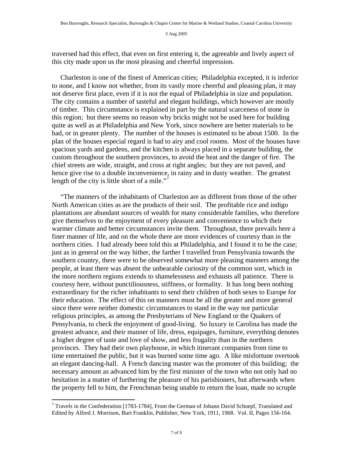traversed had this effect, that even on first entering it, the agreeable and lively aspect of this city made upon us the most pleasing and cheerful impression.

 Charleston is one of the finest of American cities; Philadelphia excepted, it is inferior to none, and I know not whether, from its vastly more cheerful and pleasing plan, it may not deserve first place, even if it is not the equal of Philadelphia in size and population. The city contains a number of tasteful and elegant buildings, which however are mostly of timber. This circumstance is explained in part by the natural scarceness of stone in this region; but there seems no reason why bricks might not be used here for building quite as well as at Philadelphia and New York, since nowhere are better materials to be had, or in greater plenty. The number of the houses is estimated to be about 1500. In the plan of the houses especial regard is had to airy and cool rooms. Most of the houses have spacious yards and gardens, and the kitchen is always placed in a separate building, the custom throughout the southern provinces, to avoid the heat and the danger of fire. The chief streets are wide, straight, and cross at right angles; but they are not paved, and hence give rise to a double inconvenience, in rainy and in dusty weather. The greatest length of the city is little short of a mile."<sup>[7](#page-6-0)</sup>

 "The manners of the inhabitants of Charleston are as different from those of the other North American cities as are the products of their soil. The profitable rice and indigo plantations are abundant sources of wealth for many considerable families, who therefore give themselves to the enjoyment of every pleasure and convenience to which their warmer climate and better circumstances invite them. Throughout, there prevails here a finer manner of life, and on the whole there are more evidences of courtesy than in the northern cities. I had already been told this at Philadelphia, and I found it to be the case; just as in general on the way hither, the farther I travelled from Pensylvania towards the southern country, there were to be observed somewhat more pleasing manners among the people, at least there was absent the unbearable curiosity of the common sort, which in the more northern regions extends to shamelessness and exhausts all patience. There is courtesy here, without punctiliousness, stiffness, or formality. It has long been nothing extraordinary for the richer inhabitants to send their children of both sexes to Europe for their education. The effect of this on manners must be all the greater and more general since there were neither domestic circumstances to stand in the way nor particular religious principles, as among the Presbyterians of New England or the Quakers of Pensylvania, to check the enjoyment of good-living. So luxury in Carolina has made the greatest advance, and their manner of life, dress, equipages, furniture, everything denotes a higher degree of taste and love of show, and less frugality than in the northern provinces. They had their own playhouse, in which itinerant companies from time to time entertained the public, but it was burned some time ago. A like misfortune overtook an elegant dancing-hall. A French dancing master was the promoter of this building; the necessary amount as advanced him by the first minister of the town who not only had no hesitation in a matter of furthering the pleasure of his parishioners, but afterwards when the property fell to him, the Frenchman being unable to return the loan, made no scruple

<span id="page-6-0"></span> $7$  Travels in the Confederation [1783-1784], From the German of Johann David Schoepf, Translated and Edited by Alfred J. Morrison, Burt Franklin, Publisher, New York, 1911, 1968. Vol. II, Pages 156-164.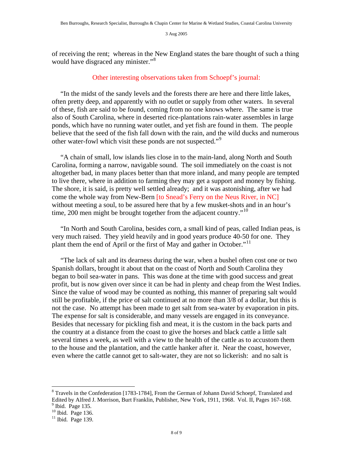of receiving the rent; whereas in the New England states the bare thought of such a thing would have disgraced any minister."<sup>[8](#page-7-0)</sup>

### Other interesting observations taken from Schoepf's journal:

 "In the midst of the sandy levels and the forests there are here and there little lakes, often pretty deep, and apparently with no outlet or supply from other waters. In several of these, fish are said to be found, coming from no one knows where. The same is true also of South Carolina, where in deserted rice-plantations rain-water assembles in large ponds, which have no running water outlet, and yet fish are found in them. The people believe that the seed of the fish fall down with the rain, and the wild ducks and numerous other water-fowl which visit these ponds are not suspected."<sup>[9](#page-7-1)</sup>

 "A chain of small, low islands lies close in to the main-land, along North and South Carolina, forming a narrow, navigable sound. The soil immediately on the coast is not altogether bad, in many places better than that more inland, and many people are tempted to live there, where in addition to farming they may get a support and money by fishing. The shore, it is said, is pretty well settled already; and it was astonishing, after we had come the whole way from New-Bern [to Snead's Ferry on the Neus River, in NC] without meeting a soul, to be assured here that by a few musket-shots and in an hour's time, 200 men might be brought together from the adjacent country."<sup>[10](#page-7-2)</sup>

 "In North and South Carolina, besides corn, a small kind of peas, called Indian peas, is very much raised. They yield heavily and in good years produce 40-50 for one. They plant them the end of April or the first of May and gather in October."<sup>[11](#page-7-3)</sup>

 "The lack of salt and its dearness during the war, when a bushel often cost one or two Spanish dollars, brought it about that on the coast of North and South Carolina they began to boil sea-water in pans. This was done at the time with good success and great profit, but is now given over since it can be had in plenty and cheap from the West Indies. Since the value of wood may be counted as nothing, this manner of preparing salt would still be profitable, if the price of salt continued at no more than 3/8 of a dollar, but this is not the case. No attempt has been made to get salt from sea-water by evaporation in pits. The expense for salt is considerable, and many vessels are engaged in its conveyance. Besides that necessary for pickling fish and meat, it is the custom in the back parts and the country at a distance from the coast to give the horses and black cattle a little salt several times a week, as well with a view to the health of the cattle as to accustom them to the house and the plantation, and the cattle hanker after it. Near the coast, however, even where the cattle cannot get to salt-water, they are not so lickerish: and no salt is

<span id="page-7-0"></span> $8$  Travels in the Confederation [1783-1784], From the German of Johann David Schoepf, Translated and Edited by Alfred J. Morrison, Burt Franklin, Publisher, New York, 1911, 1968. Vol. II, Pages 167-168.  $9$  Ibid. Page 135.

<span id="page-7-2"></span><span id="page-7-1"></span> $10$  Ibid. Page 136.

<span id="page-7-3"></span> $11$  Ibid. Page 139.